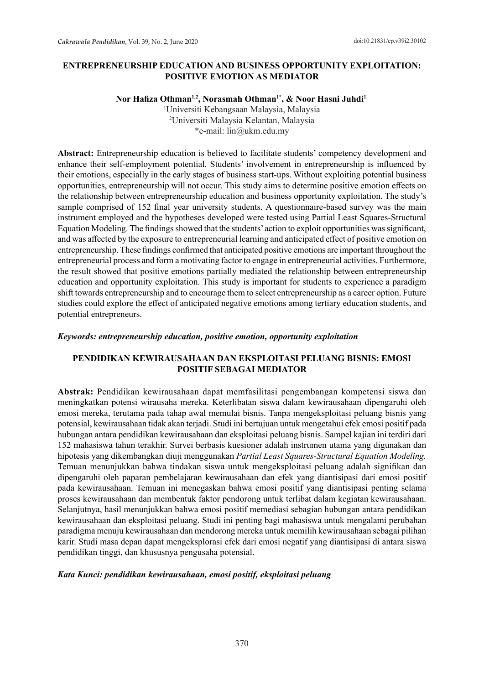## **ENTREPRENEURSHIP EDUCATION AND BUSINESS OPPORTUNITY EXPLOITATION: POSITIVE EMOTION AS MEDIATOR**

#### Nor Hafiza Othman<sup>1,2</sup>, Norasmah Othman<sup>1\*</sup>, & Noor Hasni Juhdi<sup>1</sup>

1 Universiti Kebangsaan Malaysia, Malaysia 2 Universiti Malaysia Kelantan, Malaysia \*e-mail: lin@ukm.edu.my

**Abstract:** Entrepreneurship education is believed to facilitate students' competency development and enhance their self-employment potential. Students' involvement in entrepreneurship is influenced by their emotions, especially in the early stages of business start-ups. Without exploiting potential business opportunities, entrepreneurship will not occur. This study aims to determine positive emotion effects on the relationship between entrepreneurship education and business opportunity exploitation. The study's sample comprised of 152 final year university students. A questionnaire-based survey was the main instrument employed and the hypotheses developed were tested using Partial Least Squares-Structural Equation Modeling. The findings showed that the students' action to exploit opportunities was significant, and was affected by the exposure to entrepreneurial learning and anticipated effect of positive emotion on entrepreneurship. These findings confirmed that anticipated positive emotions are important throughout the entrepreneurial process and form a motivating factor to engage in entrepreneurial activities. Furthermore, the result showed that positive emotions partially mediated the relationship between entrepreneurship education and opportunity exploitation. This study is important for students to experience a paradigm shift towards entrepreneurship and to encourage them to select entrepreneurship as a career option. Future studies could explore the effect of anticipated negative emotions among tertiary education students, and potential entrepreneurs.

#### *Keywords: entrepreneurship education, positive emotion, opportunity exploitation*

# **PENDIDIKAN KEWIRAUSAHAAN DAN EKSPLOITASI PELUANG BISNIS: EMOSI POSITIF SEBAGAI MEDIATOR**

**Abstrak:** Pendidikan kewirausahaan dapat memfasilitasi pengembangan kompetensi siswa dan meningkatkan potensi wirausaha mereka. Keterlibatan siswa dalam kewirausahaan dipengaruhi oleh emosi mereka, terutama pada tahap awal memulai bisnis. Tanpa mengeksploitasi peluang bisnis yang potensial, kewirausahaan tidak akan terjadi. Studi ini bertujuan untuk mengetahui efek emosi positif pada hubungan antara pendidikan kewirausahaan dan eksploitasi peluang bisnis. Sampel kajian ini terdiri dari 152 mahasiswa tahun terakhir. Survei berbasis kuesioner adalah instrumen utama yang digunakan dan hipotesis yang dikembangkan diuji menggunakan *Partial Least Squares-Structural Equation Modeling.* Temuan menunjukkan bahwa tindakan siswa untuk mengeksploitasi peluang adalah signifikan dan dipengaruhi oleh paparan pembelajaran kewirausahaan dan efek yang diantisipasi dari emosi positif pada kewirausahaan. Temuan ini menegaskan bahwa emosi positif yang diantisipasi penting selama proses kewirausahaan dan membentuk faktor pendorong untuk terlibat dalam kegiatan kewirausahaan. Selanjutnya, hasil menunjukkan bahwa emosi positif memediasi sebagian hubungan antara pendidikan kewirausahaan dan eksploitasi peluang. Studi ini penting bagi mahasiswa untuk mengalami perubahan paradigma menuju kewirausahaan dan mendorong mereka untuk memilih kewirausahaan sebagai pilihan karir. Studi masa depan dapat mengeksplorasi efek dari emosi negatif yang diantisipasi di antara siswa pendidikan tinggi, dan khususnya pengusaha potensial.

#### *Kata Kunci: pendidikan kewirausahaan, emosi positif, eksploitasi peluang*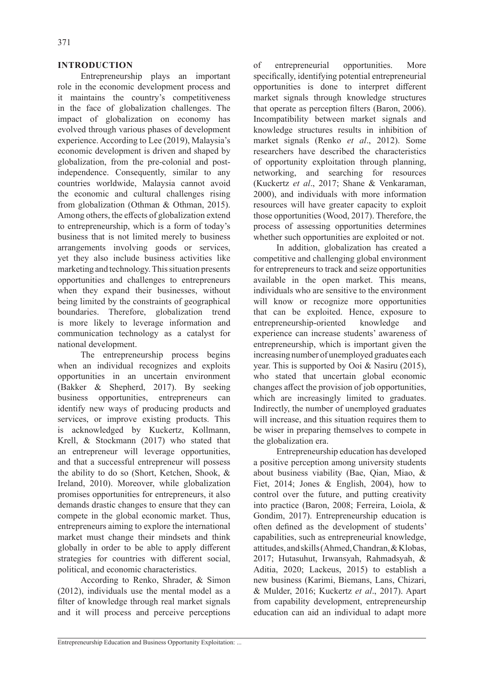#### **INTRODUCTION**

Entrepreneurship plays an important role in the economic development process and it maintains the country's competitiveness in the face of globalization challenges. The impact of globalization on economy has evolved through various phases of development experience. According to Lee (2019), Malaysia's economic development is driven and shaped by globalization, from the pre-colonial and postindependence. Consequently, similar to any countries worldwide, Malaysia cannot avoid the economic and cultural challenges rising from globalization (Othman & Othman, 2015). Among others, the effects of globalization extend to entrepreneurship, which is a form of today's business that is not limited merely to business arrangements involving goods or services, yet they also include business activities like marketing and technology. This situation presents opportunities and challenges to entrepreneurs when they expand their businesses, without being limited by the constraints of geographical boundaries. Therefore, globalization trend is more likely to leverage information and communication technology as a catalyst for national development.

The entrepreneurship process begins when an individual recognizes and exploits opportunities in an uncertain environment (Bakker & Shepherd, 2017). By seeking business opportunities, entrepreneurs can identify new ways of producing products and services, or improve existing products. This is acknowledged by Kuckertz, Kollmann, Krell, & Stockmann (2017) who stated that an entrepreneur will leverage opportunities, and that a successful entrepreneur will possess the ability to do so (Short, Ketchen, Shook, & Ireland, 2010). Moreover, while globalization promises opportunities for entrepreneurs, it also demands drastic changes to ensure that they can compete in the global economic market. Thus, entrepreneurs aiming to explore the international market must change their mindsets and think globally in order to be able to apply different strategies for countries with different social, political, and economic characteristics.

According to Renko, Shrader, & Simon (2012), individuals use the mental model as a filter of knowledge through real market signals and it will process and perceive perceptions of entrepreneurial opportunities. More specifically, identifying potential entrepreneurial opportunities is done to interpret different market signals through knowledge structures that operate as perception filters (Baron, 2006). Incompatibility between market signals and knowledge structures results in inhibition of market signals (Renko *et al*., 2012). Some researchers have described the characteristics of opportunity exploitation through planning, networking, and searching for resources (Kuckertz *et al*., 2017; Shane & Venkaraman, 2000), and individuals with more information resources will have greater capacity to exploit those opportunities (Wood, 2017). Therefore, the process of assessing opportunities determines whether such opportunities are exploited or not.

In addition, globalization has created a competitive and challenging global environment for entrepreneurs to track and seize opportunities available in the open market. This means, individuals who are sensitive to the environment will know or recognize more opportunities that can be exploited. Hence, exposure to entrepreneurship-oriented knowledge and experience can increase students' awareness of entrepreneurship, which is important given the increasing number of unemployed graduates each year. This is supported by Ooi & Nasiru (2015), who stated that uncertain global economic changes affect the provision of job opportunities, which are increasingly limited to graduates. Indirectly, the number of unemployed graduates will increase, and this situation requires them to be wiser in preparing themselves to compete in the globalization era.

Entrepreneurship education has developed a positive perception among university students about business viability (Bae, Qian, Miao, & Fiet, 2014; Jones & English, 2004), how to control over the future, and putting creativity into practice (Baron, 2008; Ferreira, Loiola, & Gondim, 2017). Entrepreneurship education is often defined as the development of students' capabilities, such as entrepreneurial knowledge, attitudes, and skills (Ahmed, Chandran, & Klobas, 2017; Hutasuhut, Irwansyah, Rahmadsyah, & Aditia, 2020; Lackeus, 2015) to establish a new business (Karimi, Biemans, Lans, Chizari, & Mulder, 2016; Kuckertz *et al*., 2017). Apart from capability development, entrepreneurship education can aid an individual to adapt more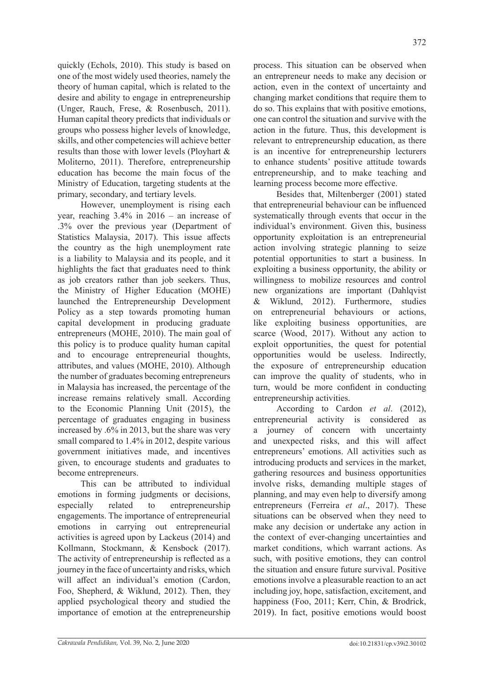quickly (Echols, 2010). This study is based on one of the most widely used theories, namely the theory of human capital, which is related to the desire and ability to engage in entrepreneurship (Unger, Rauch, Frese, & Rosenbusch, 2011). Human capital theory predicts that individuals or groups who possess higher levels of knowledge, skills, and other competencies will achieve better results than those with lower levels (Ployhart & Moliterno, 2011). Therefore, entrepreneurship

education has become the main focus of the Ministry of Education, targeting students at the

primary, secondary, and tertiary levels. However, unemployment is rising each year, reaching 3.4% in 2016 – an increase of .3% over the previous year (Department of Statistics Malaysia, 2017). This issue affects the country as the high unemployment rate is a liability to Malaysia and its people, and it highlights the fact that graduates need to think as job creators rather than job seekers. Thus, the Ministry of Higher Education (MOHE) launched the Entrepreneurship Development Policy as a step towards promoting human capital development in producing graduate entrepreneurs (MOHE, 2010). The main goal of this policy is to produce quality human capital and to encourage entrepreneurial thoughts, attributes, and values (MOHE, 2010). Although the number of graduates becoming entrepreneurs in Malaysia has increased, the percentage of the increase remains relatively small. According to the Economic Planning Unit (2015), the percentage of graduates engaging in business increased by .6% in 2013, but the share was very small compared to 1.4% in 2012, despite various government initiatives made, and incentives given, to encourage students and graduates to become entrepreneurs.

This can be attributed to individual emotions in forming judgments or decisions, especially related to entrepreneurship engagements. The importance of entrepreneurial emotions in carrying out entrepreneurial activities is agreed upon by Lackeus (2014) and Kollmann, Stockmann, & Kensbock (2017). The activity of entrepreneurship is reflected as a journey in the face of uncertainty and risks, which will affect an individual's emotion (Cardon, Foo, Shepherd, & Wiklund, 2012). Then, they applied psychological theory and studied the importance of emotion at the entrepreneurship process. This situation can be observed when an entrepreneur needs to make any decision or action, even in the context of uncertainty and changing market conditions that require them to do so. This explains that with positive emotions, one can control the situation and survive with the action in the future. Thus, this development is relevant to entrepreneurship education, as there is an incentive for entrepreneurship lecturers to enhance students' positive attitude towards entrepreneurship, and to make teaching and learning process become more effective.

Besides that, Miltenberger (2001) stated that entrepreneurial behaviour can be influenced systematically through events that occur in the individual's environment. Given this, business opportunity exploitation is an entrepreneurial action involving strategic planning to seize potential opportunities to start a business. In exploiting a business opportunity, the ability or willingness to mobilize resources and control new organizations are important (Dahlqvist & Wiklund, 2012). Furthermore, studies on entrepreneurial behaviours or actions, like exploiting business opportunities, are scarce (Wood, 2017). Without any action to exploit opportunities, the quest for potential opportunities would be useless. Indirectly, the exposure of entrepreneurship education can improve the quality of students, who in turn, would be more confident in conducting entrepreneurship activities.

According to Cardon *et al*. (2012), entrepreneurial activity is considered as a journey of concern with uncertainty and unexpected risks, and this will affect entrepreneurs' emotions. All activities such as introducing products and services in the market, gathering resources and business opportunities involve risks, demanding multiple stages of planning, and may even help to diversify among entrepreneurs (Ferreira *et al*., 2017). These situations can be observed when they need to make any decision or undertake any action in the context of ever-changing uncertainties and market conditions, which warrant actions. As such, with positive emotions, they can control the situation and ensure future survival. Positive emotions involve a pleasurable reaction to an act including joy, hope, satisfaction, excitement, and happiness (Foo, 2011; Kerr, Chin, & Brodrick, 2019). In fact, positive emotions would boost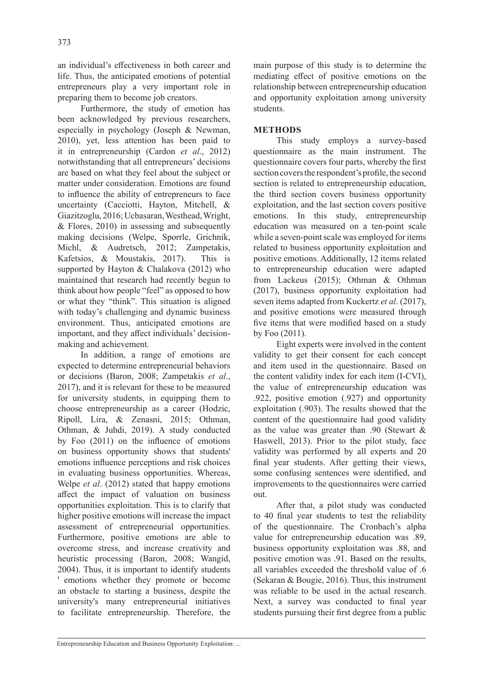an individual's effectiveness in both career and life. Thus, the anticipated emotions of potential entrepreneurs play a very important role in preparing them to become job creators.

Furthermore, the study of emotion has been acknowledged by previous researchers, especially in psychology (Joseph & Newman, 2010), yet, less attention has been paid to it in entrepreneurship (Cardon *et al*., 2012) notwithstanding that all entrepreneurs' decisions are based on what they feel about the subject or matter under consideration. Emotions are found to influence the ability of entrepreneurs to face uncertainty (Cacciotti, Hayton, Mitchell, & Giazitzoglu, 2016; Ucbasaran, Westhead, Wright, & Flores, 2010) in assessing and subsequently making decisions (Welpe, Sporrle, Grichnik, Michl, & Audretsch, 2012; Zampetakis, Kafetsios, & Moustakis, 2017). This is supported by Hayton & Chalakova (2012) who maintained that research had recently begun to think about how people "feel" as opposed to how or what they "think". This situation is aligned with today's challenging and dynamic business environment. Thus, anticipated emotions are important, and they affect individuals' decisionmaking and achievement.

In addition, a range of emotions are expected to determine entrepreneurial behaviors or decisions (Baron, 2008; Zampetakis *et al*., 2017), and it is relevant for these to be measured for university students, in equipping them to choose entrepreneurship as a career (Hodzic, Ripoll, Lira, & Zenasni, 2015; Othman, Othman, & Juhdi, 2019). A study conducted by Foo (2011) on the influence of emotions on business opportunity shows that students' emotions influence perceptions and risk choices in evaluating business opportunities. Whereas, Welpe *et al*. (2012) stated that happy emotions affect the impact of valuation on business opportunities exploitation. This is to clarify that higher positive emotions will increase the impact assessment of entrepreneurial opportunities. Furthermore, positive emotions are able to overcome stress, and increase creativity and heuristic processing (Baron, 2008; Wangid, 2004). Thus, it is important to identify students ' emotions whether they promote or become an obstacle to starting a business, despite the university's many entrepreneurial initiatives to facilitate entrepreneurship. Therefore, the main purpose of this study is to determine the mediating effect of positive emotions on the relationship between entrepreneurship education and opportunity exploitation among university students.

# **METHODS**

This study employs a survey-based questionnaire as the main instrument. The questionnaire covers four parts, whereby the first section covers the respondent's profile, the second section is related to entrepreneurship education, the third section covers business opportunity exploitation, and the last section covers positive emotions. In this study, entrepreneurship education was measured on a ten-point scale while a seven-point scale was employed for items related to business opportunity exploitation and positive emotions. Additionally, 12 items related to entrepreneurship education were adapted from Lackeus (2015); Othman & Othman (2017), business opportunity exploitation had seven items adapted from Kuckertz *et al*. (2017), and positive emotions were measured through five items that were modified based on a study by Foo (2011).

Eight experts were involved in the content validity to get their consent for each concept and item used in the questionnaire. Based on the content validity index for each item (I-CVI), the value of entrepreneurship education was .922, positive emotion (.927) and opportunity exploitation (.903). The results showed that the content of the questionnaire had good validity as the value was greater than .90 (Stewart & Haswell, 2013). Prior to the pilot study, face validity was performed by all experts and 20 final year students. After getting their views, some confusing sentences were identified, and improvements to the questionnaires were carried out.

After that, a pilot study was conducted to 40 final year students to test the reliability of the questionnaire. The Cronbach's alpha value for entrepreneurship education was .89, business opportunity exploitation was .88, and positive emotion was .91. Based on the results, all variables exceeded the threshold value of .6 (Sekaran & Bougie, 2016). Thus, this instrument was reliable to be used in the actual research. Next, a survey was conducted to final year students pursuing their first degree from a public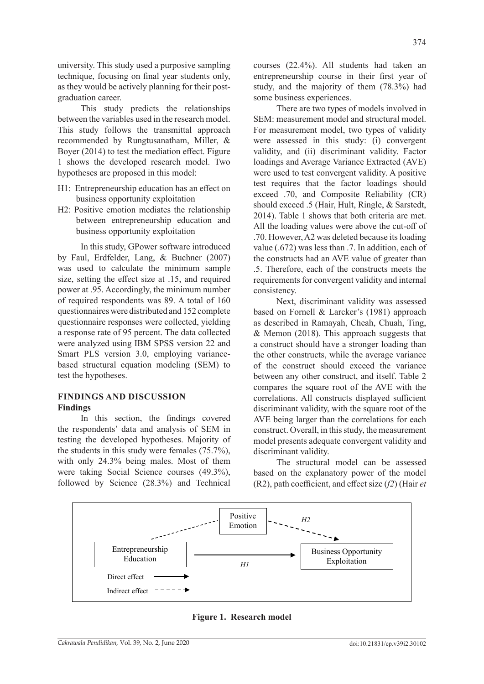university. This study used a purposive sampling technique, focusing on final year students only, as they would be actively planning for their postgraduation career.

This study predicts the relationships between the variables used in the research model. This study follows the transmittal approach recommended by Rungtusanatham, Miller, & Boyer (2014) to test the mediation effect. Figure 1 shows the developed research model. Two hypotheses are proposed in this model:

- H1: Entrepreneurship education has an effect on business opportunity exploitation
- H2: Positive emotion mediates the relationship between entrepreneurship education and business opportunity exploitation

In this study, GPower software introduced by Faul, Erdfelder, Lang, & Buchner (2007) was used to calculate the minimum sample size, setting the effect size at .15, and required power at .95. Accordingly, the minimum number of required respondents was 89. A total of 160 questionnaires were distributed and 152 complete questionnaire responses were collected, yielding a response rate of 95 percent. The data collected were analyzed using IBM SPSS version 22 and Smart PLS version 3.0, employing variancebased structural equation modeling (SEM) to test the hypotheses.

## **FINDINGS AND DISCUSSION Findings**

In this section, the findings covered the respondents' data and analysis of SEM in testing the developed hypotheses. Majority of the students in this study were females (75.7%), with only 24.3% being males. Most of them were taking Social Science courses (49.3%), followed by Science (28.3%) and Technical courses (22.4%). All students had taken an entrepreneurship course in their first year of study, and the majority of them (78.3%) had some business experiences.

There are two types of models involved in SEM: measurement model and structural model. For measurement model, two types of validity were assessed in this study: (i) convergent validity, and (ii) discriminant validity. Factor loadings and Average Variance Extracted (AVE) were used to test convergent validity. A positive test requires that the factor loadings should exceed .70, and Composite Reliability (CR) should exceed .5 (Hair, Hult, Ringle, & Sarstedt, 2014). Table 1 shows that both criteria are met. All the loading values were above the cut-off of .70. However, A2 was deleted because its loading value (.672) was less than .7. In addition, each of the constructs had an AVE value of greater than .5. Therefore, each of the constructs meets the requirements for convergent validity and internal consistency.

Next, discriminant validity was assessed based on Fornell & Larcker's (1981) approach as described in Ramayah, Cheah, Chuah, Ting, & Memon (2018). This approach suggests that a construct should have a stronger loading than the other constructs, while the average variance of the construct should exceed the variance between any other construct, and itself. Table 2 compares the square root of the AVE with the correlations. All constructs displayed sufficient discriminant validity, with the square root of the AVE being larger than the correlations for each construct. Overall, in this study, the measurement model presents adequate convergent validity and discriminant validity.

The structural model can be assessed based on the explanatory power of the model (R2), path coefficient, and effect size (*f2*) (Hair *et* 



**Figure 1. Research model**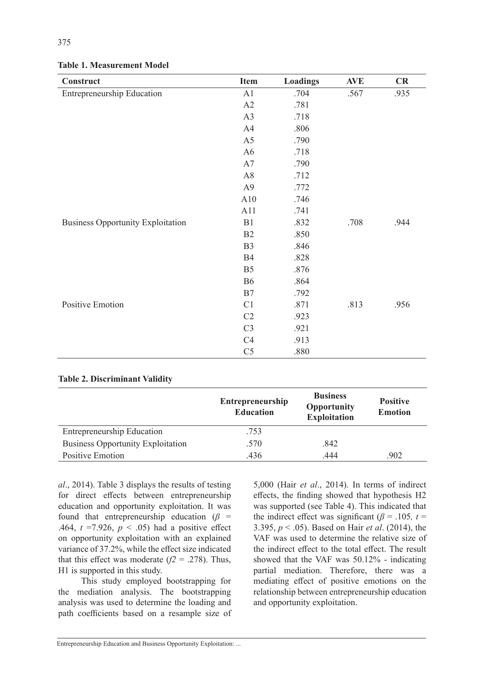| Construct                                | <b>Item</b>    | <b>Loadings</b> | <b>AVE</b> | CR   |
|------------------------------------------|----------------|-----------------|------------|------|
| Entrepreneurship Education               | A1             | .704            | .567       | .935 |
|                                          | A2             | .781            |            |      |
|                                          | A3             | .718            |            |      |
|                                          | A4             | .806            |            |      |
|                                          | A <sub>5</sub> | .790            |            |      |
|                                          | A <sub>6</sub> | .718            |            |      |
|                                          | A7             | .790            |            |      |
|                                          | A8             | .712            |            |      |
|                                          | A <sub>9</sub> | .772            |            |      |
|                                          | A10            | .746            |            |      |
|                                          | A11            | .741            |            |      |
| <b>Business Opportunity Exploitation</b> | B1             | .832            | .708       | .944 |
|                                          | B2             | .850            |            |      |
|                                          | B <sub>3</sub> | .846            |            |      |
|                                          | <b>B4</b>      | .828            |            |      |
|                                          | B <sub>5</sub> | .876            |            |      |
|                                          | <b>B6</b>      | .864            |            |      |
|                                          | B7             | .792            |            |      |
| <b>Positive Emotion</b>                  | C1             | .871            | .813       | .956 |
|                                          | C2             | .923            |            |      |
|                                          | C <sub>3</sub> | .921            |            |      |
|                                          | C4             | .913            |            |      |
|                                          | C <sub>5</sub> | .880            |            |      |

## **Table 1. Measurement Model**

# **Table 2. Discriminant Validity**

|                                          | <b>Entrepreneurship</b><br><b>Education</b> | <b>Business</b><br>Opportunity<br><b>Exploitation</b> | <b>Positive</b><br><b>Emotion</b> |
|------------------------------------------|---------------------------------------------|-------------------------------------------------------|-----------------------------------|
| Entrepreneurship Education               | .753                                        |                                                       |                                   |
| <b>Business Opportunity Exploitation</b> | .570                                        | .842                                                  |                                   |
| Positive Emotion                         | .436                                        | .444                                                  | .902                              |

*al*., 2014). Table 3 displays the results of testing for direct effects between entrepreneurship education and opportunity exploitation. It was found that entrepreneurship education ( $\beta$  = .464,  $t = 7.926$ ,  $p < .05$ ) had a positive effect on opportunity exploitation with an explained variance of 37.2%, while the effect size indicated that this effect was moderate  $(f2 = .278)$ . Thus, H1 is supported in this study.

This study employed bootstrapping for the mediation analysis. The bootstrapping analysis was used to determine the loading and path coefficients based on a resample size of 5,000 (Hair *et al*., 2014). In terms of indirect effects, the finding showed that hypothesis H2 was supported (see Table 4). This indicated that the indirect effect was significant ( $\beta$  = .105*, t* = 3.395, *p* < .05). Based on Hair *et al*. (2014), the VAF was used to determine the relative size of the indirect effect to the total effect. The result showed that the VAF was 50.12% - indicating partial mediation. Therefore, there was a mediating effect of positive emotions on the relationship between entrepreneurship education and opportunity exploitation.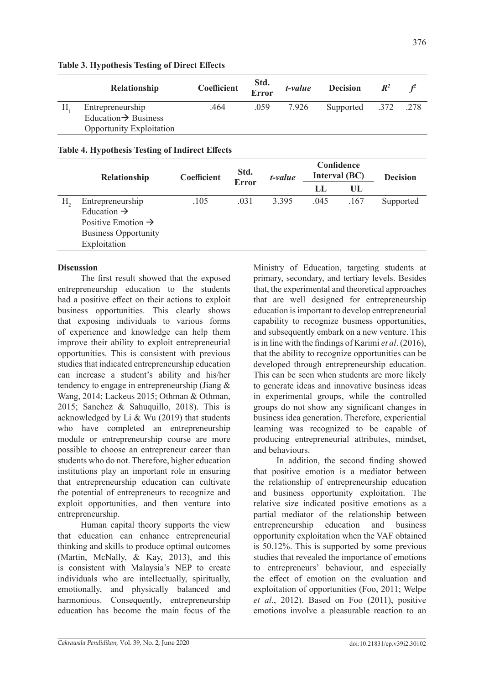| Relationship                     | Coefficient | Std.<br>Error | t-value | <b>Decision</b>     | $\mathbb{R}^2$ |  |
|----------------------------------|-------------|---------------|---------|---------------------|----------------|--|
| Entrepreneurship                 | .464        | .059          | 7.926   | Supported .372 .278 |                |  |
| Education $\rightarrow$ Business |             |               |         |                     |                |  |
| <b>Opportunity Exploitation</b>  |             |               |         |                     |                |  |

## **Table 3. Hypothesis Testing of Direct Effects**

## **Table 4. Hypothesis Testing of Indirect Effects**

|    | Relationship                   | Coefficient | Std.<br><b>Error</b> | t-value | Confidence<br>Interval (BC) |      | <b>Decision</b> |
|----|--------------------------------|-------------|----------------------|---------|-----------------------------|------|-----------------|
|    |                                |             |                      |         | IJ                          | UL   |                 |
| Н. | Entrepreneurship               | .105        | .031                 | 3.395   | .045                        | .167 | Supported       |
|    | Education $\rightarrow$        |             |                      |         |                             |      |                 |
|    | Positive Emotion $\rightarrow$ |             |                      |         |                             |      |                 |
|    | <b>Business Opportunity</b>    |             |                      |         |                             |      |                 |
|    | Exploitation                   |             |                      |         |                             |      |                 |

# **Discussion**

The first result showed that the exposed entrepreneurship education to the students had a positive effect on their actions to exploit business opportunities. This clearly shows that exposing individuals to various forms of experience and knowledge can help them improve their ability to exploit entrepreneurial opportunities. This is consistent with previous studies that indicated entrepreneurship education can increase a student's ability and his/her tendency to engage in entrepreneurship (Jiang & Wang, 2014; Lackeus 2015; Othman & Othman, 2015; Sanchez & Sahuquillo, 2018). This is acknowledged by Li & Wu (2019) that students who have completed an entrepreneurship module or entrepreneurship course are more possible to choose an entrepreneur career than students who do not. Therefore, higher education institutions play an important role in ensuring that entrepreneurship education can cultivate the potential of entrepreneurs to recognize and exploit opportunities, and then venture into entrepreneurship.

Human capital theory supports the view that education can enhance entrepreneurial thinking and skills to produce optimal outcomes (Martin, McNally, & Kay, 2013), and this is consistent with Malaysia's NEP to create individuals who are intellectually, spiritually, emotionally, and physically balanced and harmonious. Consequently, entrepreneurship education has become the main focus of the Ministry of Education, targeting students at primary, secondary, and tertiary levels. Besides that, the experimental and theoretical approaches that are well designed for entrepreneurship education is important to develop entrepreneurial capability to recognize business opportunities, and subsequently embark on a new venture. This is in line with the findings of Karimi *et al*. (2016), that the ability to recognize opportunities can be developed through entrepreneurship education. This can be seen when students are more likely to generate ideas and innovative business ideas in experimental groups, while the controlled groups do not show any significant changes in business idea generation. Therefore, experiential learning was recognized to be capable of producing entrepreneurial attributes, mindset, and behaviours.

In addition, the second finding showed that positive emotion is a mediator between the relationship of entrepreneurship education and business opportunity exploitation. The relative size indicated positive emotions as a partial mediator of the relationship between entrepreneurship education and business opportunity exploitation when the VAF obtained is 50.12%. This is supported by some previous studies that revealed the importance of emotions to entrepreneurs' behaviour, and especially the effect of emotion on the evaluation and exploitation of opportunities (Foo, 2011; Welpe *et al*., 2012). Based on Foo (2011), positive emotions involve a pleasurable reaction to an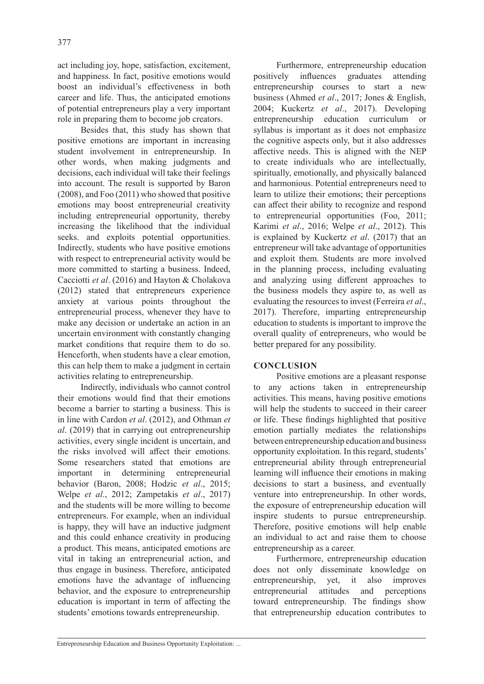act including joy, hope, satisfaction, excitement, and happiness. In fact, positive emotions would boost an individual's effectiveness in both career and life. Thus, the anticipated emotions of potential entrepreneurs play a very important role in preparing them to become job creators.

Besides that, this study has shown that positive emotions are important in increasing student involvement in entrepreneurship. In other words, when making judgments and decisions, each individual will take their feelings into account. The result is supported by Baron (2008), and Foo (2011) who showed that positive emotions may boost entrepreneurial creativity including entrepreneurial opportunity, thereby increasing the likelihood that the individual seeks. and exploits potential opportunities. Indirectly, students who have positive emotions with respect to entrepreneurial activity would be more committed to starting a business. Indeed, Cacciotti *et al*. (2016) and Hayton & Cholakova (2012) stated that entrepreneurs experience anxiety at various points throughout the entrepreneurial process, whenever they have to make any decision or undertake an action in an uncertain environment with constantly changing market conditions that require them to do so. Henceforth, when students have a clear emotion, this can help them to make a judgment in certain activities relating to entrepreneurship.

Indirectly, individuals who cannot control their emotions would find that their emotions become a barrier to starting a business. This is in line with Cardon *et al*. (2012), and Othman *et al*. (2019) that in carrying out entrepreneurship activities, every single incident is uncertain, and the risks involved will affect their emotions. Some researchers stated that emotions are important in determining entrepreneurial behavior (Baron, 2008; Hodzic *et al*., 2015; Welpe *et al*., 2012; Zampetakis *et al*., 2017) and the students will be more willing to become entrepreneurs. For example, when an individual is happy, they will have an inductive judgment and this could enhance creativity in producing a product. This means, anticipated emotions are vital in taking an entrepreneurial action, and thus engage in business. Therefore, anticipated emotions have the advantage of influencing behavior, and the exposure to entrepreneurship education is important in term of affecting the students' emotions towards entrepreneurship.

Furthermore, entrepreneurship education positively influences graduates attending entrepreneurship courses to start a new business (Ahmed *et al*., 2017; Jones & English, 2004; Kuckertz *et al*., 2017). Developing entrepreneurship education curriculum or syllabus is important as it does not emphasize the cognitive aspects only, but it also addresses affective needs. This is aligned with the NEP to create individuals who are intellectually, spiritually, emotionally, and physically balanced and harmonious. Potential entrepreneurs need to learn to utilize their emotions; their perceptions can affect their ability to recognize and respond to entrepreneurial opportunities (Foo, 2011; Karimi *et al*., 2016; Welpe *et al*., 2012). This is explained by Kuckertz *et al*. (2017) that an entrepreneur will take advantage of opportunities and exploit them. Students are more involved in the planning process, including evaluating and analyzing using different approaches to the business models they aspire to, as well as evaluating the resources to invest (Ferreira *et al*., 2017). Therefore, imparting entrepreneurship education to students is important to improve the overall quality of entrepreneurs, who would be better prepared for any possibility.

#### **CONCLUSION**

Positive emotions are a pleasant response to any actions taken in entrepreneurship activities. This means, having positive emotions will help the students to succeed in their career or life. These findings highlighted that positive emotion partially mediates the relationships between entrepreneurship education and business opportunity exploitation. In this regard, students' entrepreneurial ability through entrepreneurial learning will influence their emotions in making decisions to start a business, and eventually venture into entrepreneurship. In other words, the exposure of entrepreneurship education will inspire students to pursue entrepreneurship. Therefore, positive emotions will help enable an individual to act and raise them to choose entrepreneurship as a career.

Furthermore, entrepreneurship education does not only disseminate knowledge on entrepreneurship, yet, it also improves entrepreneurial attitudes and perceptions toward entrepreneurship. The findings show that entrepreneurship education contributes to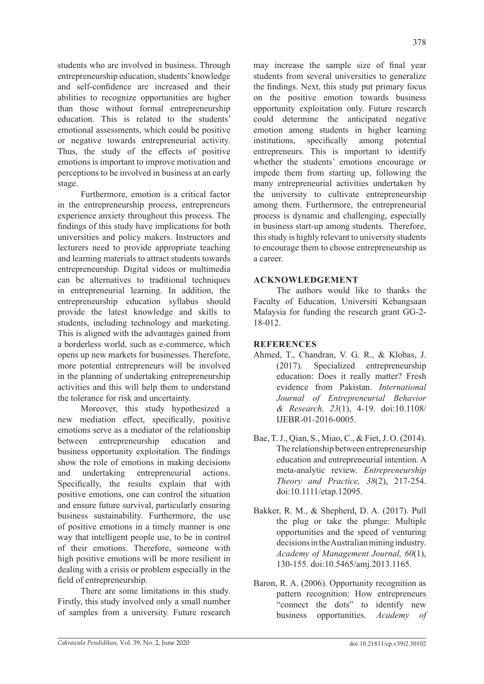students who are involved in business. Through entrepreneurship education, students' knowledge and self-confidence are increased and their abilities to recognize opportunities are higher than those without formal entrepreneurship education. This is related to the students' emotional assessments, which could be positive or negative towards entrepreneurial activity. Thus, the study of the effects of positive emotions is important to improve motivation and perceptions to be involved in business at an early stage.

Furthermore, emotion is a critical factor in the entrepreneurship process, entrepreneurs experience anxiety throughout this process. The findings of this study have implications for both universities and policy makers. Instructors and lecturers need to provide appropriate teaching and learning materials to attract students towards entrepreneurship. Digital videos or multimedia can be alternatives to traditional techniques in entrepreneurial learning. In addition, the entrepreneurship education syllabus should provide the latest knowledge and skills to students, including technology and marketing. This is aligned with the advantages gained from a borderless world, such as e-commerce, which opens up new markets for businesses. Therefore, more potential entrepreneurs will be involved in the planning of undertaking entrepreneurship activities and this will help them to understand the tolerance for risk and uncertainty.

Moreover, this study hypothesized a new mediation effect, specifically, positive emotions serve as a mediator of the relationship between entrepreneurship education and business opportunity exploitation. The findings show the role of emotions in making decisions and undertaking entrepreneurial actions. Specifically, the results explain that with positive emotions, one can control the situation and ensure future survival, particularly ensuring business sustainability. Furthermore, the use of positive emotions in a timely manner is one way that intelligent people use, to be in control of their emotions. Therefore, someone with high positive emotions will be more resilient in dealing with a crisis or problem especially in the field of entrepreneurship.

There are some limitations in this study. Firstly, this study involved only a small number of samples from a university. Future research

may increase the sample size of final year students from several universities to generalize the findings. Next, this study put primary focus on the positive emotion towards business opportunity exploitation only. Future research could determine the anticipated negative emotion among students in higher learning institutions, specifically among potential entrepreneurs. This is important to identify whether the students' emotions encourage or impede them from starting up, following the many entrepreneurial activities undertaken by the university to cultivate entrepreneurship among them. Furthermore, the entrepreneurial process is dynamic and challenging, especially in business start-up among students. Therefore, this study is highly relevant to university students to encourage them to choose entrepreneurship as a career.

# **ACKNOWLEDGEMENT**

The authors would like to thanks the Faculty of Education, Universiti Kebangsaan Malaysia for funding the research grant GG-2- 18-012.

# **REFERENCES**

- Ahmed, T., Chandran, V. G. R., & Klobas, J. (2017). Specialized entrepreneurship education: Does it really matter? Fresh evidence from Pakistan. *International Journal of Entrepreneurial Behavior & Research, 23*(1), 4-19. doi:10.1108/ IJEBR-01-2016-0005.
- Bae, T. J., Qian, S., Miao, C., & Fiet, J. O. (2014). The relationship between entrepreneurship education and entrepreneurial intention. A meta-analytic review. *Entrepreneurship Theory and Practice, 38*(2), 217-254. doi:10.1111/etap.12095.
- Bakker, R. M., & Shepherd, D. A. (2017). Pull the plug or take the plunge: Multiple opportunities and the speed of venturing decisions in the Australian mining industry. *Academy of Management Journal, 60*(1), 130-155. doi:10.5465/amj.2013.1165.
- Baron, R. A. (2006). Opportunity recognition as pattern recognition: How entrepreneurs "connect the dots" to identify new business opportunities. *Academy of*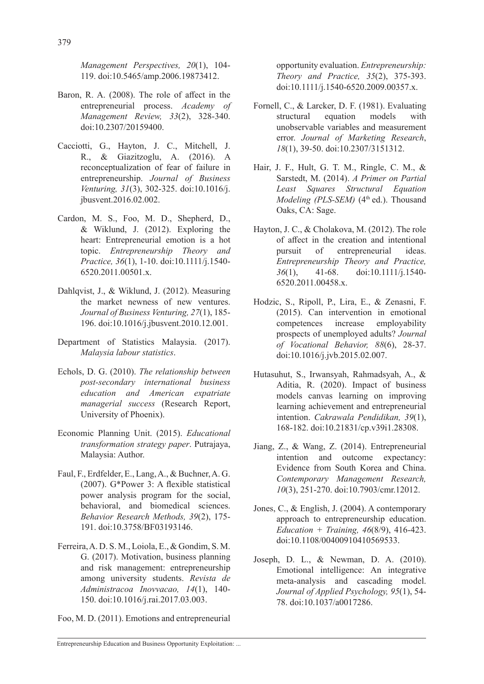*Management Perspectives, 20*(1), 104- 119. doi:10.5465/amp.2006.19873412.

- Baron, R. A. (2008). The role of affect in the entrepreneurial process. *Academy of Management Review, 33*(2), 328-340. doi:10.2307/20159400.
- Cacciotti, G., Hayton, J. C., Mitchell, J. R., & Giazitzoglu, A. (2016). A reconceptualization of fear of failure in entrepreneurship. *Journal of Business Venturing, 31*(3), 302-325. doi:10.1016/j. jbusvent.2016.02.002.
- Cardon, M. S., Foo, M. D., Shepherd, D., & Wiklund, J. (2012). Exploring the heart: Entrepreneurial emotion is a hot topic. *Entrepreneurship Theory and Practice, 36*(1), 1-10. doi:10.1111/j.1540- 6520.2011.00501.x.
- Dahlqvist, J., & Wiklund, J. (2012). Measuring the market newness of new ventures. *Journal of Business Venturing, 27*(1), 185- 196. doi:10.1016/j.jbusvent.2010.12.001.
- Department of Statistics Malaysia. (2017). *Malaysia labour statistics*.
- Echols, D. G. (2010). *The relationship between post-secondary international business education and American expatriate managerial success* (Research Report, University of Phoenix).
- Economic Planning Unit. (2015). *Educational transformation strategy paper*. Putrajaya, Malaysia: Author.
- Faul, F., Erdfelder, E., Lang, A., & Buchner, A. G. (2007). G\*Power 3: A flexible statistical power analysis program for the social, behavioral, and biomedical sciences. *Behavior Research Methods, 39*(2), 175- 191. doi:10.3758/BF03193146.
- Ferreira, A. D. S. M., Loiola, E., & Gondim, S. M. G. (2017). Motivation, business planning and risk management: entrepreneurship among university students. *Revista de Administracoa Inovvacao, 14*(1), 140- 150. doi:10.1016/j.rai.2017.03.003.
- Foo, M. D. (2011). Emotions and entrepreneurial

opportunity evaluation. *Entrepreneurship: Theory and Practice, 35*(2), 375-393. doi:10.1111/j.1540-6520.2009.00357.x.

- Fornell, C., & Larcker, D. F. (1981). Evaluating structural equation models with unobservable variables and measurement error. *Journal of Marketing Research*, *18*(1), 39-50. doi:10.2307/3151312.
- Hair, J. F., Hult, G. T. M., Ringle, C. M., & Sarstedt, M. (2014). *A Primer on Partial Least Squares Structural Equation Modeling (PLS-SEM)* (4<sup>th</sup> ed.). Thousand Oaks, CA: Sage.
- Hayton, J. C., & Cholakova, M. (2012). The role of affect in the creation and intentional pursuit of entrepreneurial ideas. *Entrepreneurship Theory and Practice, 36*(1), 41-68. doi:10.1111/j.1540- 6520.2011.00458.x.
- Hodzic, S., Ripoll, P., Lira, E., & Zenasni, F. (2015). Can intervention in emotional competences increase employability prospects of unemployed adults? *Journal of Vocational Behavior, 88*(6), 28-37. doi:10.1016/j.jvb.2015.02.007.
- Hutasuhut, S., Irwansyah, Rahmadsyah, A., & Aditia, R. (2020). Impact of business models canvas learning on improving learning achievement and entrepreneurial intention. *Cakrawala Pendidikan, 39*(1), 168-182. doi:10.21831/cp.v39i1.28308.
- Jiang, Z., & Wang, Z. (2014). Entrepreneurial intention and outcome expectancy: Evidence from South Korea and China. *Contemporary Management Research, 10*(3), 251-270. doi:10.7903/cmr.12012.
- Jones, C., & English, J. (2004). A contemporary approach to entrepreneurship education. *Education + Training, 46*(8/9), 416-423. doi:10.1108/00400910410569533.
- Joseph, D. L., & Newman, D. A. (2010). Emotional intelligence: An integrative meta-analysis and cascading model. *Journal of Applied Psychology, 95*(1), 54- 78. doi:10.1037/a0017286.

Entrepreneurship Education and Business Opportunity Exploitation: ...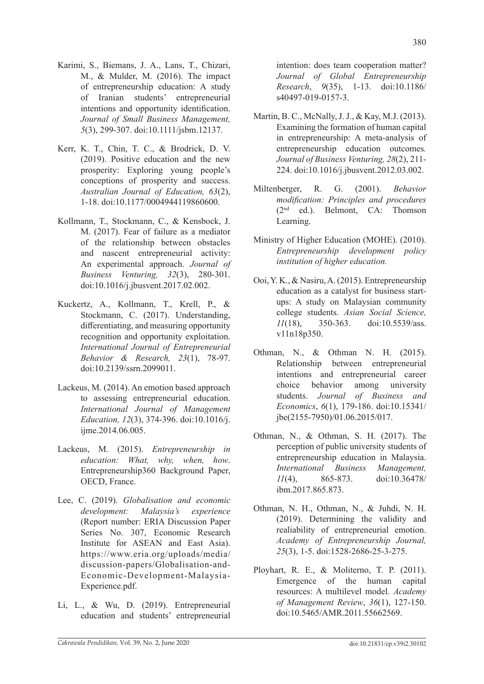- Karimi, S., Biemans, J. A., Lans, T., Chizari, M., & Mulder, M. (2016). The impact of entrepreneurship education: A study of Iranian students' entrepreneurial intentions and opportunity identification. *Journal of Small Business Management, 5*(3), 299-307. doi:10.1111/jsbm.12137.
- Kerr, K. T., Chin, T. C., & Brodrick, D. V. (2019). Positive education and the new prosperity: Exploring young people's conceptions of prosperity and success. *Australian Journal of Education, 63*(2), 1-18. doi:10.1177/0004944119860600.
- Kollmann, T., Stockmann, C., & Kensbock, J. M. (2017). Fear of failure as a mediator of the relationship between obstacles and nascent entrepreneurial activity: An experimental approach. *Journal of Business Venturing, 32*(3), 280-301. doi:10.1016/j.jbusvent.2017.02.002.
- Kuckertz, A., Kollmann, T., Krell, P., & Stockmann, C. (2017). Understanding, differentiating, and measuring opportunity recognition and opportunity exploitation. *International Journal of Entrepreneurial Behavior & Research, 23*(1), 78-97. doi:10.2139/ssrn.2099011.
- Lackeus, M. (2014). An emotion based approach to assessing entrepreneurial education. *International Journal of Management Education, 12*(3), 374-396. doi:10.1016/j. ijme.2014.06.005.
- Lackeus, M. (2015). *Entrepreneurship in education: What, why, when, how*. Entrepreneurship360 Background Paper, OECD, France.
- Lee, C. (2019). *Globalisation and economic development: Malaysia's experience* (Report number: ERIA Discussion Paper Series No. 307, Economic Research Institute for ASEAN and East Asia). https://www.eria.org/uploads/media/ discussion-papers/Globalisation-and-Economic-Development-Malaysia-Experience.pdf.
- Li, L., & Wu, D. (2019). Entrepreneurial education and students' entrepreneurial

intention: does team cooperation matter? *Journal of Global Entrepreneurship Research*, *9*(35), 1-13. doi:10.1186/ s40497-019-0157-3.

- Martin, B. C., McNally, J. J., & Kay, M.J. (2013). Examining the formation of human capital in entrepreneurship: A meta-analysis of entrepreneurship education outcomes*. Journal of Business Venturing, 28*(2), 211- 224. doi:10.1016/j.jbusvent.2012.03.002.
- Miltenberger, R. G. (2001). *Behavior modification: Principles and procedures* (2nd ed.). Belmont, CA: Thomson Learning.
- Ministry of Higher Education (MOHE). (2010). *Entrepreneurship development policy institution of higher education.*
- Ooi, Y. K., & Nasiru, A. (2015). Entrepreneurship education as a catalyst for business startups: A study on Malaysian community college students. *Asian Social Science, 11*(18), 350-363. doi:10.5539/ass. v11n18p350.
- Othman, N., & Othman N. H. (2015). Relationship between entrepreneurial intentions and entrepreneurial career choice behavior among university students. *Journal of Business and Economics*, *6*(1), 179-186. doi:10.15341/ jbe(2155-7950)/01.06.2015/017.
- Othman, N., & Othman, S. H. (2017). The perception of public university students of entrepreneurship education in Malaysia. *International Business Management, 11*(4), 865-873. doi:10.36478/ ibm.2017.865.873.
- Othman, N. H., Othman, N., & Juhdi, N. H. (2019). Determining the validity and realiability of entrepreneurial emotion. *Academy of Entrepreneurship Journal, 25*(3), 1-5. doi:1528-2686-25-3-275.
- Ployhart, R. E., & Moliterno, T. P. (2011). Emergence of the human capital resources: A multilevel model. *Academy of Management Review*, *36*(1), 127-150. doi:10.5465/AMR.2011.55662569.